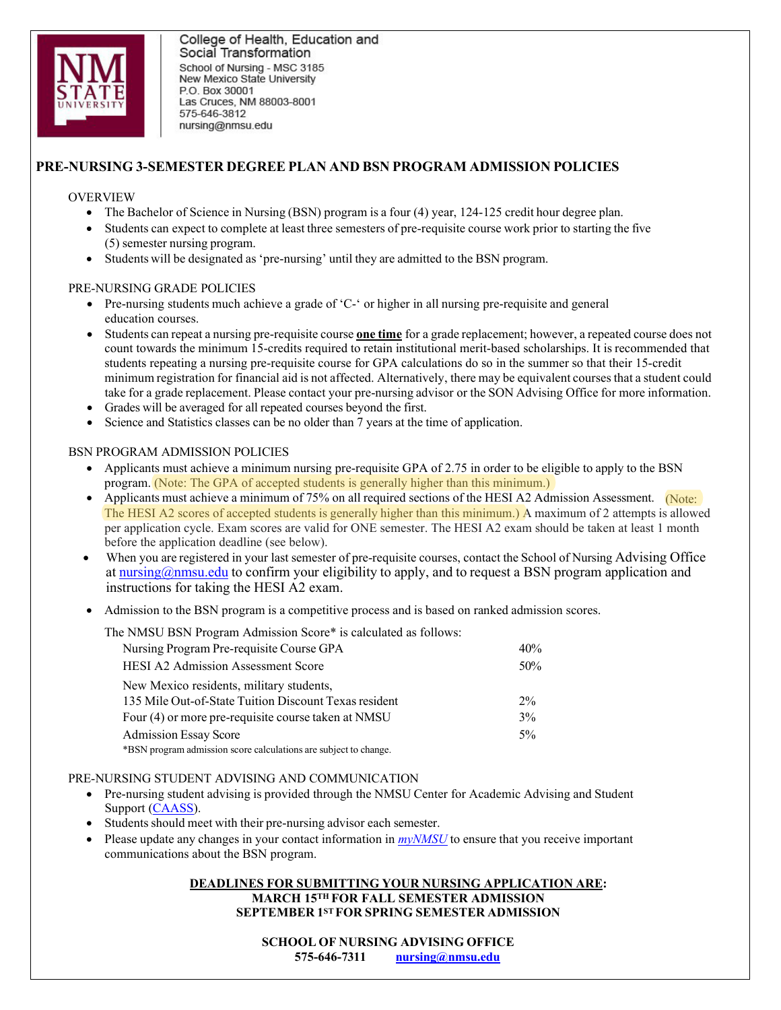

College of Health, Education and Social Transformation School of Nursing - MSC 3185 New Mexico State University P.O. Box 30001 Las Cruces, NM 88003-8001 575-646-3812 nursing@nmsu.edu

## **PRE-NURSING 3-SEMESTER DEGREE PLAN AND BSN PROGRAM ADMISSION POLICIES**

#### OVERVIEW

- The Bachelor of Science in Nursing (BSN) program is a four (4) year, 124-125 credit hour degree plan.
- Students can expect to complete at least three semesters of pre-requisite course work prior to starting the five (5) semester nursing program.
- Students will be designated as 'pre-nursing' until they are admitted to the BSN program.

#### PRE-NURSING GRADE POLICIES

- Pre-nursing students much achieve a grade of 'C-' or higher in all nursing pre-requisite and general education courses.
- Students can repeat a nursing pre-requisite course **one time** for a grade replacement; however, a repeated course does not count towards the minimum 15-credits required to retain institutional merit-based scholarships. It is recommended that students repeating a nursing pre-requisite course for GPA calculations do so in the summer so that their 15-credit minimum registration for financial aid is not affected. Alternatively, there may be equivalent courses that a student could take for a grade replacement. Please contact your pre-nursing advisor or the SON Advising Office for more information.
- Grades will be averaged for all repeated courses beyond the first.
- Science and Statistics classes can be no older than 7 years at the time of application.

#### BSN PROGRAM ADMISSION POLICIES

- Applicants must achieve a minimum nursing pre-requisite GPA of 2.75 in order to be eligible to apply to the BSN program. (Note: The GPA of accepted students is generally higher than this minimum.)
- Applicants must achieve a minimum of 75% on all required sections of the HESI A2 Admission Assessment. (Note: The HESI A2 scores of accepted students is generally higher than this minimum.) A maximum of 2 attempts is allowed per application cycle. Exam scores are valid for ONE semester. The HESI A2 exam should be taken at least 1 month before the application deadline (see below).
- When you are registered in your last semester of pre-requisite courses, contact the School of Nursing Advising Office at [nursing@nmsu.edu](mailto:nursing@nmsu.edu) to confirm your eligibility to apply, and to request a BSN program application and instructions for taking the HESI A2 exam.
- Admission to the BSN program is a competitive process and is based on ranked admission scores.

The NMSU BSN Program Admission Score\* is calculated as follows:

| Nursing Program Pre-requisite Course GPA                         | 40%    |
|------------------------------------------------------------------|--------|
| <b>HESI A2 Admission Assessment Score</b>                        | $50\%$ |
| New Mexico residents, military students,                         |        |
| 135 Mile Out-of-State Tuition Discount Texas resident            | $2\%$  |
| Four (4) or more pre-requisite course taken at NMSU              | $3\%$  |
| <b>Admission Essay Score</b>                                     | $5\%$  |
| *BSN program admission score calculations are subject to change. |        |

#### PRE-NURSING STUDENT ADVISING AND COMMUNICATION

- Pre-nursing student advising is provided through the NMSU Center for Academic Advising and Student Support [\(CAASS\)](https://advising.nmsu.edu/).
- Students should meet with their pre-nursing advisor each semester.
- Please update any changes in your contact information in *[myNMSU](https://idp.quicklaunchsso.com/authenticationendpoint/login.do?commonAuthCallerPath=%2Fpassivests&forceAuth=false&passiveAuth=false&tenantDomain=nmsu.edu&wa=wsignin1.0&wct=2020-06-02T20%3A20%3A48Z&wctx=rm%3D0%26id%3Dpassive%26ru%3D%252fcas%252flogin%253fservice%253dhttps%25253A%25252F%25252Fmy.nmsu.edu%25252Fc%25252Fportal%25252Flogin&wtrealm=https%3A%2F%2Fcps55.quicklaunchsso.com%2F&sessionDataKey=c10374e9-d05b-4ec4-b80d-4492e6a6e160&relyingParty=https%3A%2F%2Fcps55.quicklaunchsso.com%2F&type=passivests&sp=cps55.quicklaunchsso.com&isSaaSApp=false&authenticators=BasicAuthenticator%3ALOCAL)* to ensure that you receive important communications about the BSN program.

#### **DEADLINES FOR SUBMITTING YOUR NURSING APPLICATION ARE: MARCH 15TH FOR FALL SEMESTER ADMISSION SEPTEMBER 1ST FOR SPRING SEMESTER ADMISSION**

**SCHOOL OF NURSING ADVISING OFFICE 575-646-7311 [nursing@nmsu.edu](mailto:nursing@nmsu.edu)**